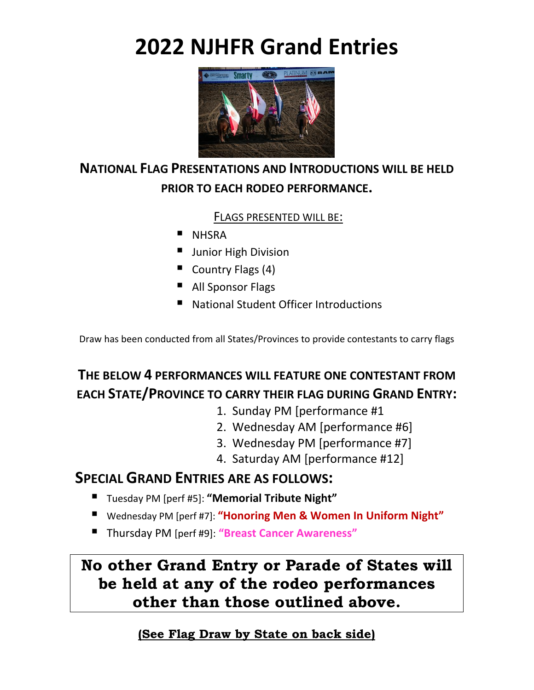# **2022 NJHFR Grand Entries**



### **NATIONAL FLAG PRESENTATIONS AND INTRODUCTIONS WILL BE HELD PRIOR TO EACH RODEO PERFORMANCE.**

#### FLAGS PRESENTED WILL BE:

- **E** NHSRA
- **U** Junior High Division
- Country Flags (4)
- All Sponsor Flags
- National Student Officer Introductions

Draw has been conducted from all States/Provinces to provide contestants to carry flags

## **THE BELOW 4 PERFORMANCES WILL FEATURE ONE CONTESTANT FROM EACH STATE/PROVINCE TO CARRY THEIR FLAG DURING GRAND ENTRY:**

- 1. Sunday PM [performance #1
- 2. Wednesday AM [performance #6]
- 3. Wednesday PM [performance #7]
- 4. Saturday AM [performance #12]

### **SPECIAL GRAND ENTRIES ARE AS FOLLOWS:**

- Tuesday PM [perf #5]: **"Memorial Tribute Night"**
- Wednesday PM [perf #7]: "Honoring Men & Women In Uniform Night"
- Thursday PM [perf #9]: **"Breast Cancer Awareness"**

**No other Grand Entry or Parade of States will be held at any of the rodeo performances other than those outlined above.**

#### **(See Flag Draw by State on back side)**